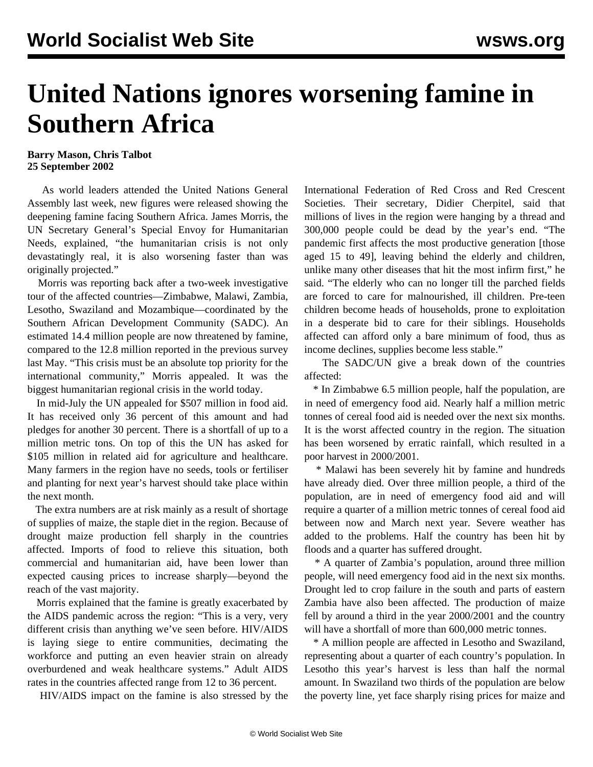## **United Nations ignores worsening famine in Southern Africa**

## **Barry Mason, Chris Talbot 25 September 2002**

 As world leaders attended the United Nations General Assembly last week, new figures were released showing the deepening famine facing Southern Africa. James Morris, the UN Secretary General's Special Envoy for Humanitarian Needs, explained, "the humanitarian crisis is not only devastatingly real, it is also worsening faster than was originally projected."

 Morris was reporting back after a two-week investigative tour of the affected countries—Zimbabwe, Malawi, Zambia, Lesotho, Swaziland and Mozambique—coordinated by the Southern African Development Community (SADC). An estimated 14.4 million people are now threatened by famine, compared to the 12.8 million reported in the previous survey last May. "This crisis must be an absolute top priority for the international community," Morris appealed. It was the biggest humanitarian regional crisis in the world today.

 In mid-July the UN appealed for \$507 million in food aid. It has received only 36 percent of this amount and had pledges for another 30 percent. There is a shortfall of up to a million metric tons. On top of this the UN has asked for \$105 million in related aid for agriculture and healthcare. Many farmers in the region have no seeds, tools or fertiliser and planting for next year's harvest should take place within the next month.

 The extra numbers are at risk mainly as a result of shortage of supplies of maize, the staple diet in the region. Because of drought maize production fell sharply in the countries affected. Imports of food to relieve this situation, both commercial and humanitarian aid, have been lower than expected causing prices to increase sharply—beyond the reach of the vast majority.

 Morris explained that the famine is greatly exacerbated by the AIDS pandemic across the region: "This is a very, very different crisis than anything we've seen before. HIV/AIDS is laying siege to entire communities, decimating the workforce and putting an even heavier strain on already overburdened and weak healthcare systems." Adult AIDS rates in the countries affected range from 12 to 36 percent.

HIV/AIDS impact on the famine is also stressed by the

International Federation of Red Cross and Red Crescent Societies. Their secretary, Didier Cherpitel, said that millions of lives in the region were hanging by a thread and 300,000 people could be dead by the year's end. "The pandemic first affects the most productive generation [those aged 15 to 49], leaving behind the elderly and children, unlike many other diseases that hit the most infirm first," he said. "The elderly who can no longer till the parched fields are forced to care for malnourished, ill children. Pre-teen children become heads of households, prone to exploitation in a desperate bid to care for their siblings. Households affected can afford only a bare minimum of food, thus as income declines, supplies become less stable."

 The SADC/UN give a break down of the countries affected:

 \* In Zimbabwe 6.5 million people, half the population, are in need of emergency food aid. Nearly half a million metric tonnes of cereal food aid is needed over the next six months. It is the worst affected country in the region. The situation has been worsened by erratic rainfall, which resulted in a poor harvest in 2000/2001.

 \* Malawi has been severely hit by famine and hundreds have already died. Over three million people, a third of the population, are in need of emergency food aid and will require a quarter of a million metric tonnes of cereal food aid between now and March next year. Severe weather has added to the problems. Half the country has been hit by floods and a quarter has suffered drought.

 \* A quarter of Zambia's population, around three million people, will need emergency food aid in the next six months. Drought led to crop failure in the south and parts of eastern Zambia have also been affected. The production of maize fell by around a third in the year 2000/2001 and the country will have a shortfall of more than 600,000 metric tonnes.

 \* A million people are affected in Lesotho and Swaziland, representing about a quarter of each country's population. In Lesotho this year's harvest is less than half the normal amount. In Swaziland two thirds of the population are below the poverty line, yet face sharply rising prices for maize and